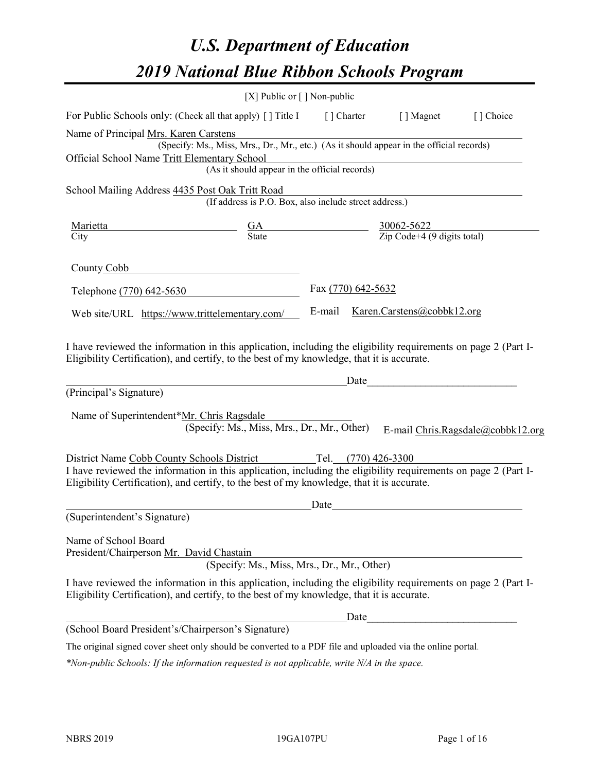# *U.S. Department of Education 2019 National Blue Ribbon Schools Program*

|                                                                  | [X] Public or $\lceil$ ] Non-public                                                                                                                                                                          |                                                                     |                                                                                                                                                                                                                               |                                   |
|------------------------------------------------------------------|--------------------------------------------------------------------------------------------------------------------------------------------------------------------------------------------------------------|---------------------------------------------------------------------|-------------------------------------------------------------------------------------------------------------------------------------------------------------------------------------------------------------------------------|-----------------------------------|
| For Public Schools only: (Check all that apply) [] Title I       |                                                                                                                                                                                                              | [ ] Charter                                                         | [ ] Magnet                                                                                                                                                                                                                    | [] Choice                         |
| Name of Principal Mrs. Karen Carstens                            |                                                                                                                                                                                                              |                                                                     |                                                                                                                                                                                                                               |                                   |
|                                                                  | (Specify: Ms., Miss, Mrs., Dr., Mr., etc.) (As it should appear in the official records)                                                                                                                     |                                                                     |                                                                                                                                                                                                                               |                                   |
| Official School Name Tritt Elementary School                     |                                                                                                                                                                                                              |                                                                     |                                                                                                                                                                                                                               |                                   |
|                                                                  | (As it should appear in the official records)                                                                                                                                                                |                                                                     |                                                                                                                                                                                                                               |                                   |
| School Mailing Address 4435 Post Oak Tritt Road                  |                                                                                                                                                                                                              |                                                                     |                                                                                                                                                                                                                               |                                   |
|                                                                  | (If address is P.O. Box, also include street address.)                                                                                                                                                       |                                                                     |                                                                                                                                                                                                                               |                                   |
| Marietta                                                         | <u>GA</u><br>State                                                                                                                                                                                           | $\frac{30062 - 5622}{\text{Zip Code} + 4 (9 \text{ digits total})}$ |                                                                                                                                                                                                                               |                                   |
| City                                                             |                                                                                                                                                                                                              |                                                                     |                                                                                                                                                                                                                               |                                   |
| County Cobb                                                      |                                                                                                                                                                                                              |                                                                     |                                                                                                                                                                                                                               |                                   |
| Telephone (770) 642-5630                                         |                                                                                                                                                                                                              | Fax (770) 642-5632                                                  |                                                                                                                                                                                                                               |                                   |
| Web site/URL https://www.trittelementary.com/                    |                                                                                                                                                                                                              | E-mail                                                              | Karen.Carstens@cobbk12.org                                                                                                                                                                                                    |                                   |
| (Principal's Signature)                                          | Eligibility Certification), and certify, to the best of my knowledge, that it is accurate.                                                                                                                   |                                                                     | Date and the set of the set of the set of the set of the set of the set of the set of the set of the set of the set of the set of the set of the set of the set of the set of the set of the set of the set of the set of the |                                   |
| Name of Superintendent*Mr. Chris Ragsdale                        | (Specify: Ms., Miss, Mrs., Dr., Mr., Other)                                                                                                                                                                  |                                                                     |                                                                                                                                                                                                                               | E-mail Chris.Ragsdale@cobbk12.org |
| District Name Cobb County Schools District                       |                                                                                                                                                                                                              | Tel. (770) 426-3300                                                 |                                                                                                                                                                                                                               |                                   |
|                                                                  | I have reviewed the information in this application, including the eligibility requirements on page 2 (Part I-<br>Eligibility Certification), and certify, to the best of my knowledge, that it is accurate. |                                                                     |                                                                                                                                                                                                                               |                                   |
|                                                                  |                                                                                                                                                                                                              | Date                                                                |                                                                                                                                                                                                                               |                                   |
| (Superintendent's Signature)                                     |                                                                                                                                                                                                              |                                                                     |                                                                                                                                                                                                                               |                                   |
| Name of School Board<br>President/Chairperson Mr. David Chastain | (Specify: Ms., Miss, Mrs., Dr., Mr., Other)                                                                                                                                                                  |                                                                     |                                                                                                                                                                                                                               |                                   |
|                                                                  | I have reviewed the information in this application, including the eligibility requirements on page 2 (Part I-<br>Eligibility Certification), and certify, to the best of my knowledge, that it is accurate. |                                                                     |                                                                                                                                                                                                                               |                                   |
|                                                                  |                                                                                                                                                                                                              | Date                                                                |                                                                                                                                                                                                                               |                                   |
| (School Board President's/Chairperson's Signature)               |                                                                                                                                                                                                              |                                                                     |                                                                                                                                                                                                                               |                                   |
|                                                                  | The original signed cover sheet only should be converted to a PDF file and uploaded via the online portal.                                                                                                   |                                                                     |                                                                                                                                                                                                                               |                                   |

*\*Non-public Schools: If the information requested is not applicable, write N/A in the space.*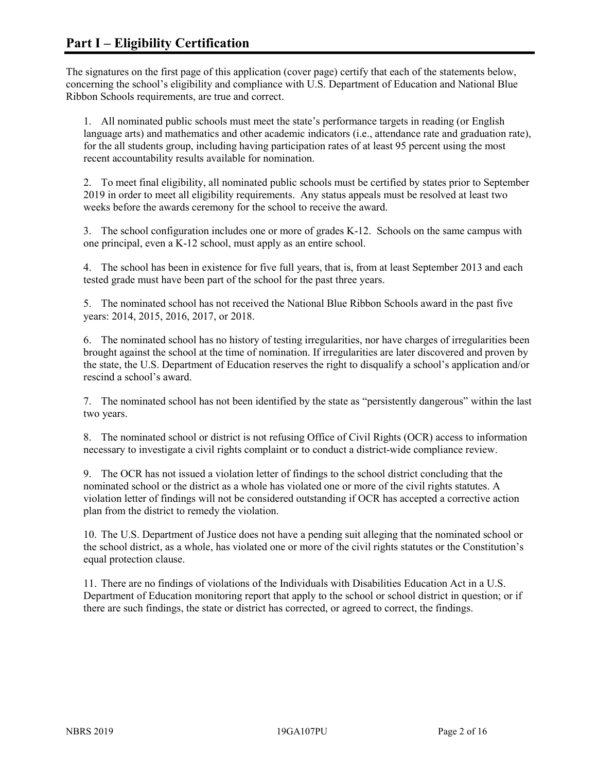The signatures on the first page of this application (cover page) certify that each of the statements below, concerning the school's eligibility and compliance with U.S. Department of Education and National Blue Ribbon Schools requirements, are true and correct.

1. All nominated public schools must meet the state's performance targets in reading (or English language arts) and mathematics and other academic indicators (i.e., attendance rate and graduation rate), for the all students group, including having participation rates of at least 95 percent using the most recent accountability results available for nomination.

2. To meet final eligibility, all nominated public schools must be certified by states prior to September 2019 in order to meet all eligibility requirements. Any status appeals must be resolved at least two weeks before the awards ceremony for the school to receive the award.

3. The school configuration includes one or more of grades K-12. Schools on the same campus with one principal, even a K-12 school, must apply as an entire school.

4. The school has been in existence for five full years, that is, from at least September 2013 and each tested grade must have been part of the school for the past three years.

5. The nominated school has not received the National Blue Ribbon Schools award in the past five years: 2014, 2015, 2016, 2017, or 2018.

6. The nominated school has no history of testing irregularities, nor have charges of irregularities been brought against the school at the time of nomination. If irregularities are later discovered and proven by the state, the U.S. Department of Education reserves the right to disqualify a school's application and/or rescind a school's award.

7. The nominated school has not been identified by the state as "persistently dangerous" within the last two years.

8. The nominated school or district is not refusing Office of Civil Rights (OCR) access to information necessary to investigate a civil rights complaint or to conduct a district-wide compliance review.

9. The OCR has not issued a violation letter of findings to the school district concluding that the nominated school or the district as a whole has violated one or more of the civil rights statutes. A violation letter of findings will not be considered outstanding if OCR has accepted a corrective action plan from the district to remedy the violation.

10. The U.S. Department of Justice does not have a pending suit alleging that the nominated school or the school district, as a whole, has violated one or more of the civil rights statutes or the Constitution's equal protection clause.

11. There are no findings of violations of the Individuals with Disabilities Education Act in a U.S. Department of Education monitoring report that apply to the school or school district in question; or if there are such findings, the state or district has corrected, or agreed to correct, the findings.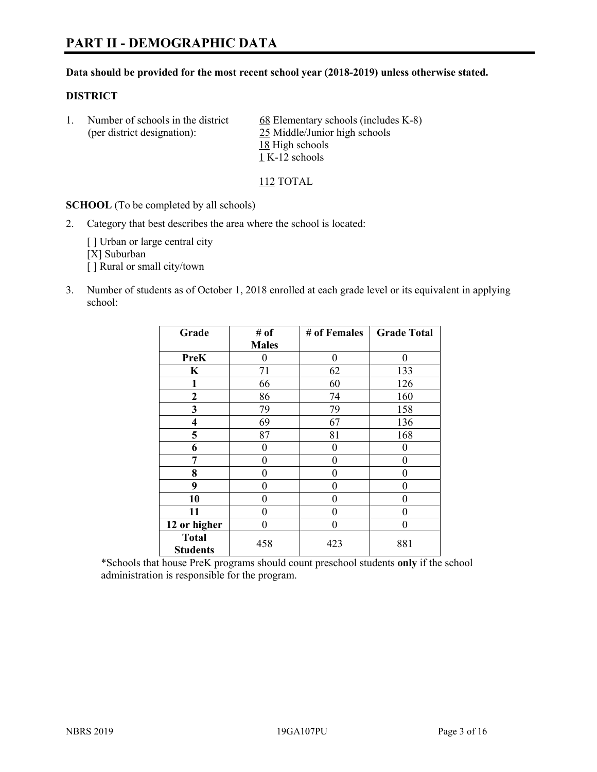# **PART II - DEMOGRAPHIC DATA**

#### **Data should be provided for the most recent school year (2018-2019) unless otherwise stated.**

#### **DISTRICT**

1. Number of schools in the district  $68$  Elementary schools (includes K-8) (per district designation): 25 Middle/Junior high schools 18 High schools 1 K-12 schools

112 TOTAL

**SCHOOL** (To be completed by all schools)

2. Category that best describes the area where the school is located:

[ ] Urban or large central city [X] Suburban [] Rural or small city/town

3. Number of students as of October 1, 2018 enrolled at each grade level or its equivalent in applying school:

| Grade                   | # of         | # of Females | <b>Grade Total</b> |
|-------------------------|--------------|--------------|--------------------|
|                         | <b>Males</b> |              |                    |
| <b>PreK</b>             | 0            | $\theta$     | 0                  |
| $\mathbf K$             | 71           | 62           | 133                |
| 1                       | 66           | 60           | 126                |
| 2                       | 86           | 74           | 160                |
| 3                       | 79           | 79           | 158                |
| $\overline{\mathbf{4}}$ | 69           | 67           | 136                |
| 5                       | 87           | 81           | 168                |
| 6                       | 0            | $\theta$     | 0                  |
| 7                       | 0            | $\theta$     | 0                  |
| 8                       | 0            | 0            | 0                  |
| 9                       | 0            | 0            | 0                  |
| 10                      | 0            | $\theta$     | 0                  |
| 11                      | 0            | 0            | 0                  |
| 12 or higher            | 0            | 0            | 0                  |
| <b>Total</b>            | 458          | 423          | 881                |
| <b>Students</b>         |              |              |                    |

\*Schools that house PreK programs should count preschool students **only** if the school administration is responsible for the program.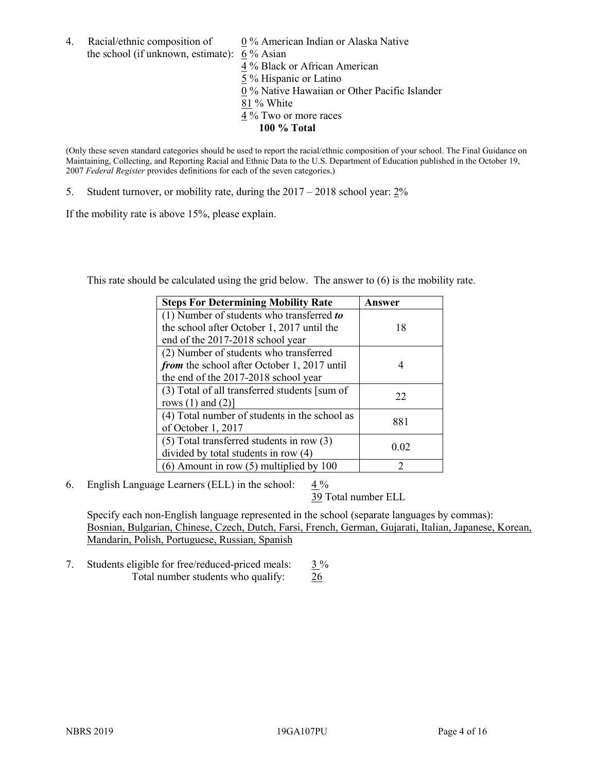4. Racial/ethnic composition of  $0\%$  American Indian or Alaska Native the school (if unknown, estimate): 6 % Asian

4 % Black or African American 5 % Hispanic or Latino 0 % Native Hawaiian or Other Pacific Islander 81 % White 4 % Two or more races **100 % Total**

(Only these seven standard categories should be used to report the racial/ethnic composition of your school. The Final Guidance on Maintaining, Collecting, and Reporting Racial and Ethnic Data to the U.S. Department of Education published in the October 19, 2007 *Federal Register* provides definitions for each of the seven categories.)

5. Student turnover, or mobility rate, during the 2017 – 2018 school year: 2%

If the mobility rate is above 15%, please explain.

This rate should be calculated using the grid below. The answer to (6) is the mobility rate.

| <b>Steps For Determining Mobility Rate</b>    | Answer         |
|-----------------------------------------------|----------------|
| (1) Number of students who transferred to     |                |
| the school after October 1, 2017 until the    | 18             |
| end of the 2017-2018 school year              |                |
| (2) Number of students who transferred        |                |
| from the school after October 1, 2017 until   | 4              |
| the end of the 2017-2018 school year          |                |
| (3) Total of all transferred students [sum of | 22             |
| rows $(1)$ and $(2)$ ]                        |                |
| (4) Total number of students in the school as |                |
| of October 1, 2017                            | 881            |
| $(5)$ Total transferred students in row $(3)$ |                |
| divided by total students in row (4)          | 0.02           |
| (6) Amount in row (5) multiplied by 100       | $\mathfrak{D}$ |

6. English Language Learners (ELL) in the school:  $4\%$ 

39 Total number ELL

Specify each non-English language represented in the school (separate languages by commas): Bosnian, Bulgarian, Chinese, Czech, Dutch, Farsi, French, German, Gujarati, Italian, Japanese, Korean, Mandarin, Polish, Portuguese, Russian, Spanish

7. Students eligible for free/reduced-priced meals:  $3\%$ Total number students who qualify: 26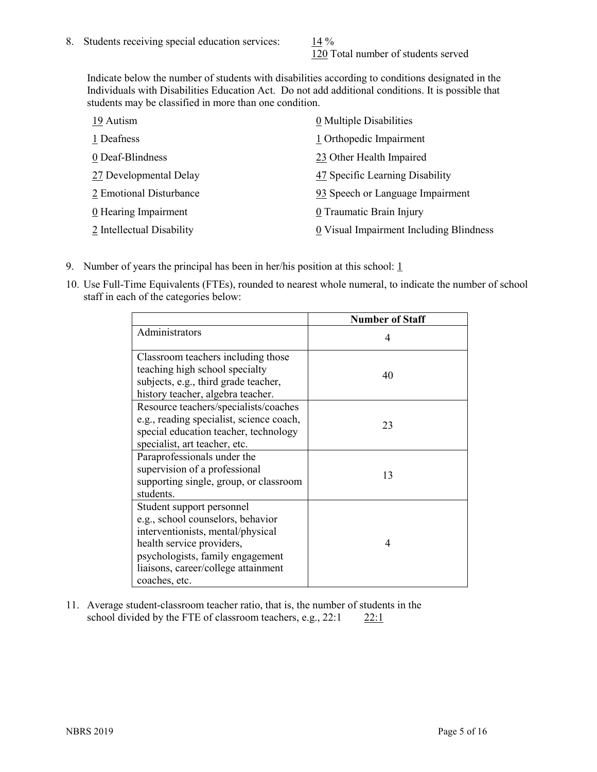120 Total number of students served

Indicate below the number of students with disabilities according to conditions designated in the Individuals with Disabilities Education Act. Do not add additional conditions. It is possible that students may be classified in more than one condition.

| 19 Autism                          | 0 Multiple Disabilities                 |
|------------------------------------|-----------------------------------------|
| 1 Deafness                         | 1 Orthopedic Impairment                 |
| 0 Deaf-Blindness                   | 23 Other Health Impaired                |
| 27 Developmental Delay             | 47 Specific Learning Disability         |
| 2 Emotional Disturbance            | 93 Speech or Language Impairment        |
| $\underline{0}$ Hearing Impairment | 0 Traumatic Brain Injury                |
| 2 Intellectual Disability          | 0 Visual Impairment Including Blindness |

- 9. Number of years the principal has been in her/his position at this school:  $1$
- 10. Use Full-Time Equivalents (FTEs), rounded to nearest whole numeral, to indicate the number of school staff in each of the categories below:

|                                                                                                                                                                                                                              | <b>Number of Staff</b> |
|------------------------------------------------------------------------------------------------------------------------------------------------------------------------------------------------------------------------------|------------------------|
| Administrators                                                                                                                                                                                                               | 4                      |
| Classroom teachers including those<br>teaching high school specialty<br>subjects, e.g., third grade teacher,<br>history teacher, algebra teacher.                                                                            | 40                     |
| Resource teachers/specialists/coaches<br>e.g., reading specialist, science coach,<br>special education teacher, technology<br>specialist, art teacher, etc.                                                                  | 23                     |
| Paraprofessionals under the<br>supervision of a professional<br>supporting single, group, or classroom<br>students.                                                                                                          | 13                     |
| Student support personnel<br>e.g., school counselors, behavior<br>interventionists, mental/physical<br>health service providers,<br>psychologists, family engagement<br>liaisons, career/college attainment<br>coaches, etc. | 4                      |

11. Average student-classroom teacher ratio, that is, the number of students in the school divided by the FTE of classroom teachers, e.g.,  $22:1$  22:1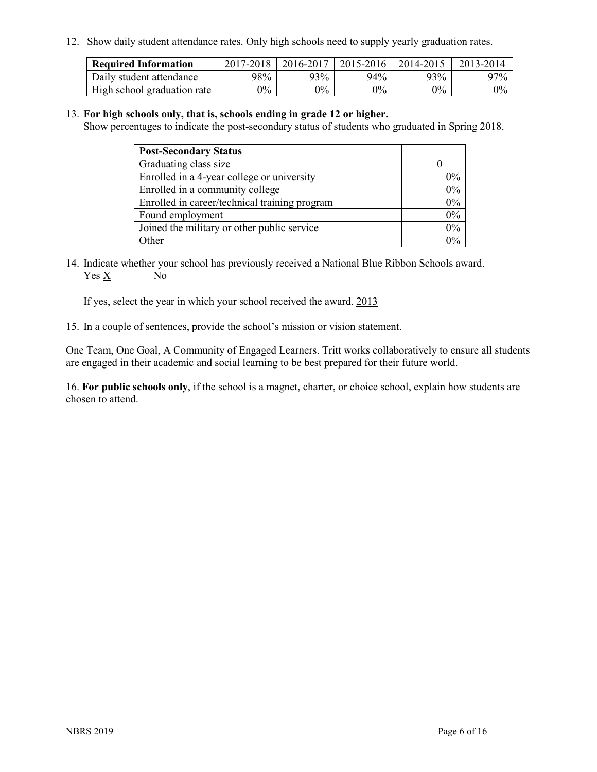12. Show daily student attendance rates. Only high schools need to supply yearly graduation rates.

| <b>Required Information</b> | $2017 - 2018$ | 2016-2017 | 2015-2016 | 2014-2015 | 2013-2014 |
|-----------------------------|---------------|-----------|-----------|-----------|-----------|
| Daily student attendance    | 98%           | 93%       | 94%       | 93%       | 97%       |
| High school graduation rate | $0\%$         | $0\%$     | $0\%$     | $9\%$     | $0\%$     |

#### 13. **For high schools only, that is, schools ending in grade 12 or higher.**

Show percentages to indicate the post-secondary status of students who graduated in Spring 2018.

| <b>Post-Secondary Status</b>                  |       |
|-----------------------------------------------|-------|
| Graduating class size                         |       |
| Enrolled in a 4-year college or university    | $0\%$ |
| Enrolled in a community college               | 0%    |
| Enrolled in career/technical training program | $0\%$ |
| Found employment                              | 0%    |
| Joined the military or other public service   | 0%    |
| Other                                         | በ0⁄   |

14. Indicate whether your school has previously received a National Blue Ribbon Schools award. Yes X No

If yes, select the year in which your school received the award. 2013

15. In a couple of sentences, provide the school's mission or vision statement.

One Team, One Goal, A Community of Engaged Learners. Tritt works collaboratively to ensure all students are engaged in their academic and social learning to be best prepared for their future world.

16. **For public schools only**, if the school is a magnet, charter, or choice school, explain how students are chosen to attend.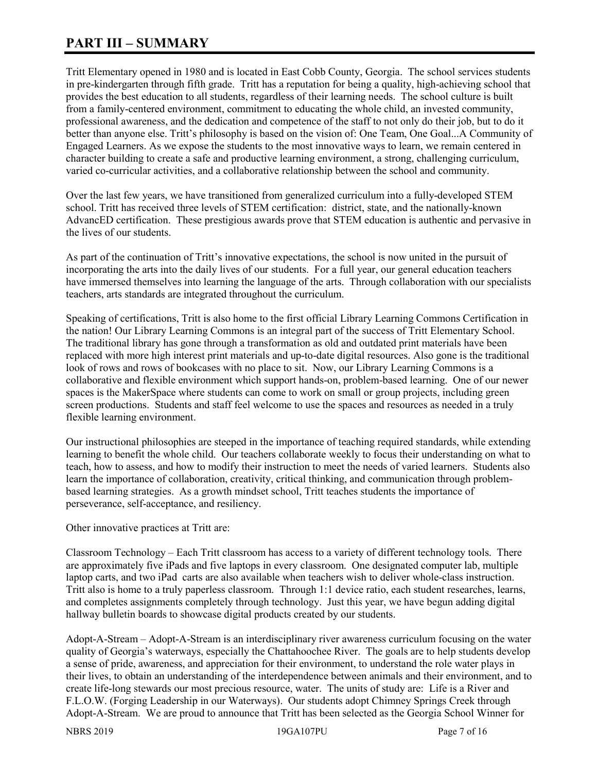# **PART III – SUMMARY**

Tritt Elementary opened in 1980 and is located in East Cobb County, Georgia. The school services students in pre-kindergarten through fifth grade. Tritt has a reputation for being a quality, high-achieving school that provides the best education to all students, regardless of their learning needs. The school culture is built from a family-centered environment, commitment to educating the whole child, an invested community, professional awareness, and the dedication and competence of the staff to not only do their job, but to do it better than anyone else. Tritt's philosophy is based on the vision of: One Team, One Goal...A Community of Engaged Learners. As we expose the students to the most innovative ways to learn, we remain centered in character building to create a safe and productive learning environment, a strong, challenging curriculum, varied co-curricular activities, and a collaborative relationship between the school and community.

Over the last few years, we have transitioned from generalized curriculum into a fully-developed STEM school. Tritt has received three levels of STEM certification: district, state, and the nationally-known AdvancED certification. These prestigious awards prove that STEM education is authentic and pervasive in the lives of our students.

As part of the continuation of Tritt's innovative expectations, the school is now united in the pursuit of incorporating the arts into the daily lives of our students. For a full year, our general education teachers have immersed themselves into learning the language of the arts. Through collaboration with our specialists teachers, arts standards are integrated throughout the curriculum.

Speaking of certifications, Tritt is also home to the first official Library Learning Commons Certification in the nation! Our Library Learning Commons is an integral part of the success of Tritt Elementary School. The traditional library has gone through a transformation as old and outdated print materials have been replaced with more high interest print materials and up-to-date digital resources. Also gone is the traditional look of rows and rows of bookcases with no place to sit. Now, our Library Learning Commons is a collaborative and flexible environment which support hands-on, problem-based learning. One of our newer spaces is the MakerSpace where students can come to work on small or group projects, including green screen productions. Students and staff feel welcome to use the spaces and resources as needed in a truly flexible learning environment.

Our instructional philosophies are steeped in the importance of teaching required standards, while extending learning to benefit the whole child. Our teachers collaborate weekly to focus their understanding on what to teach, how to assess, and how to modify their instruction to meet the needs of varied learners. Students also learn the importance of collaboration, creativity, critical thinking, and communication through problembased learning strategies. As a growth mindset school, Tritt teaches students the importance of perseverance, self-acceptance, and resiliency.

Other innovative practices at Tritt are:

Classroom Technology – Each Tritt classroom has access to a variety of different technology tools. There are approximately five iPads and five laptops in every classroom. One designated computer lab, multiple laptop carts, and two iPad carts are also available when teachers wish to deliver whole-class instruction. Tritt also is home to a truly paperless classroom. Through 1:1 device ratio, each student researches, learns, and completes assignments completely through technology. Just this year, we have begun adding digital hallway bulletin boards to showcase digital products created by our students.

Adopt-A-Stream – Adopt-A-Stream is an interdisciplinary river awareness curriculum focusing on the water quality of Georgia's waterways, especially the Chattahoochee River. The goals are to help students develop a sense of pride, awareness, and appreciation for their environment, to understand the role water plays in their lives, to obtain an understanding of the interdependence between animals and their environment, and to create life-long stewards our most precious resource, water. The units of study are: Life is a River and F.L.O.W. (Forging Leadership in our Waterways). Our students adopt Chimney Springs Creek through Adopt-A-Stream. We are proud to announce that Tritt has been selected as the Georgia School Winner for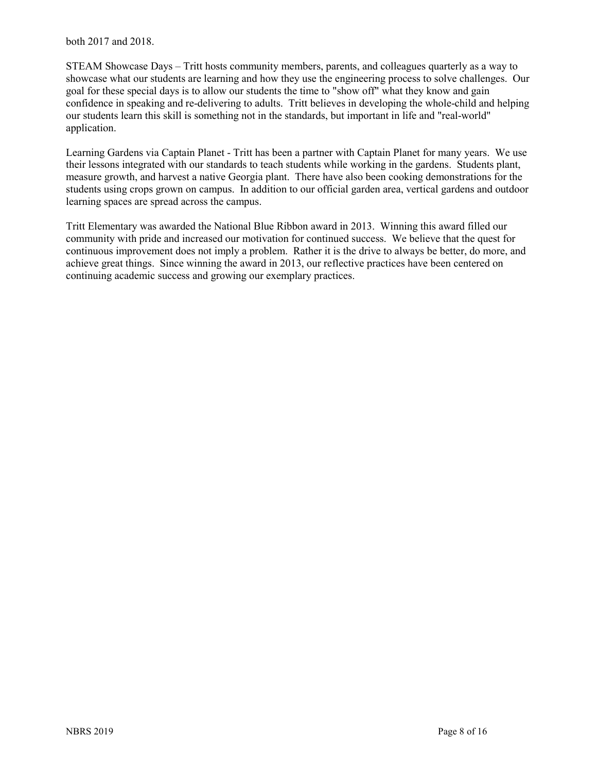both 2017 and 2018.

STEAM Showcase Days – Tritt hosts community members, parents, and colleagues quarterly as a way to showcase what our students are learning and how they use the engineering process to solve challenges. Our goal for these special days is to allow our students the time to "show off" what they know and gain confidence in speaking and re-delivering to adults. Tritt believes in developing the whole-child and helping our students learn this skill is something not in the standards, but important in life and "real-world" application.

Learning Gardens via Captain Planet - Tritt has been a partner with Captain Planet for many years. We use their lessons integrated with our standards to teach students while working in the gardens. Students plant, measure growth, and harvest a native Georgia plant. There have also been cooking demonstrations for the students using crops grown on campus. In addition to our official garden area, vertical gardens and outdoor learning spaces are spread across the campus.

Tritt Elementary was awarded the National Blue Ribbon award in 2013. Winning this award filled our community with pride and increased our motivation for continued success. We believe that the quest for continuous improvement does not imply a problem. Rather it is the drive to always be better, do more, and achieve great things. Since winning the award in 2013, our reflective practices have been centered on continuing academic success and growing our exemplary practices.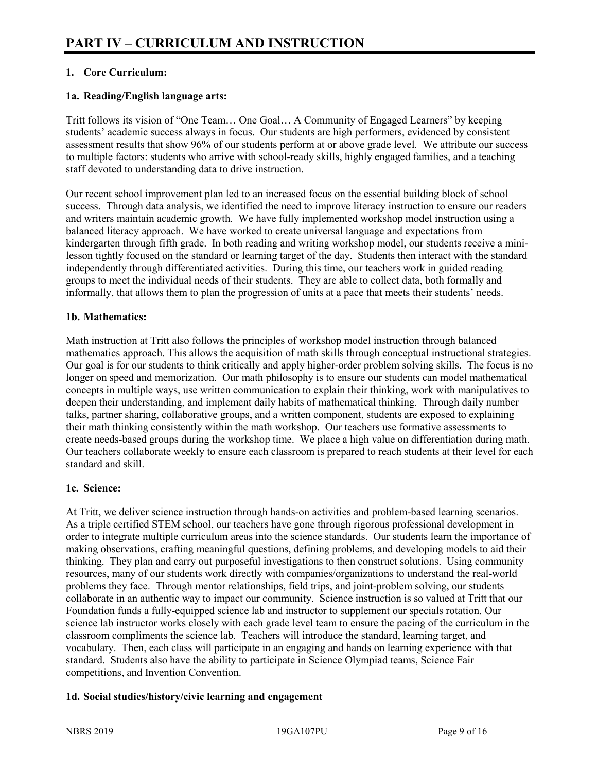# **1. Core Curriculum:**

#### **1a. Reading/English language arts:**

Tritt follows its vision of "One Team… One Goal… A Community of Engaged Learners" by keeping students' academic success always in focus. Our students are high performers, evidenced by consistent assessment results that show 96% of our students perform at or above grade level. We attribute our success to multiple factors: students who arrive with school-ready skills, highly engaged families, and a teaching staff devoted to understanding data to drive instruction.

Our recent school improvement plan led to an increased focus on the essential building block of school success. Through data analysis, we identified the need to improve literacy instruction to ensure our readers and writers maintain academic growth. We have fully implemented workshop model instruction using a balanced literacy approach. We have worked to create universal language and expectations from kindergarten through fifth grade. In both reading and writing workshop model, our students receive a minilesson tightly focused on the standard or learning target of the day. Students then interact with the standard independently through differentiated activities. During this time, our teachers work in guided reading groups to meet the individual needs of their students. They are able to collect data, both formally and informally, that allows them to plan the progression of units at a pace that meets their students' needs.

#### **1b. Mathematics:**

Math instruction at Tritt also follows the principles of workshop model instruction through balanced mathematics approach. This allows the acquisition of math skills through conceptual instructional strategies. Our goal is for our students to think critically and apply higher-order problem solving skills. The focus is no longer on speed and memorization. Our math philosophy is to ensure our students can model mathematical concepts in multiple ways, use written communication to explain their thinking, work with manipulatives to deepen their understanding, and implement daily habits of mathematical thinking. Through daily number talks, partner sharing, collaborative groups, and a written component, students are exposed to explaining their math thinking consistently within the math workshop. Our teachers use formative assessments to create needs-based groups during the workshop time. We place a high value on differentiation during math. Our teachers collaborate weekly to ensure each classroom is prepared to reach students at their level for each standard and skill.

#### **1c. Science:**

At Tritt, we deliver science instruction through hands-on activities and problem-based learning scenarios. As a triple certified STEM school, our teachers have gone through rigorous professional development in order to integrate multiple curriculum areas into the science standards. Our students learn the importance of making observations, crafting meaningful questions, defining problems, and developing models to aid their thinking. They plan and carry out purposeful investigations to then construct solutions. Using community resources, many of our students work directly with companies/organizations to understand the real-world problems they face. Through mentor relationships, field trips, and joint-problem solving, our students collaborate in an authentic way to impact our community. Science instruction is so valued at Tritt that our Foundation funds a fully-equipped science lab and instructor to supplement our specials rotation. Our science lab instructor works closely with each grade level team to ensure the pacing of the curriculum in the classroom compliments the science lab. Teachers will introduce the standard, learning target, and vocabulary. Then, each class will participate in an engaging and hands on learning experience with that standard. Students also have the ability to participate in Science Olympiad teams, Science Fair competitions, and Invention Convention.

# **1d. Social studies/history/civic learning and engagement**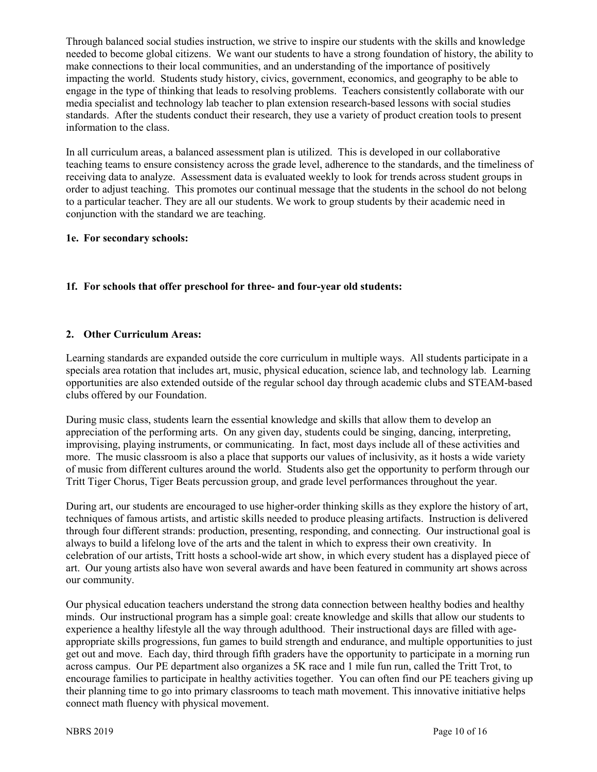Through balanced social studies instruction, we strive to inspire our students with the skills and knowledge needed to become global citizens. We want our students to have a strong foundation of history, the ability to make connections to their local communities, and an understanding of the importance of positively impacting the world. Students study history, civics, government, economics, and geography to be able to engage in the type of thinking that leads to resolving problems. Teachers consistently collaborate with our media specialist and technology lab teacher to plan extension research-based lessons with social studies standards. After the students conduct their research, they use a variety of product creation tools to present information to the class.

In all curriculum areas, a balanced assessment plan is utilized. This is developed in our collaborative teaching teams to ensure consistency across the grade level, adherence to the standards, and the timeliness of receiving data to analyze. Assessment data is evaluated weekly to look for trends across student groups in order to adjust teaching. This promotes our continual message that the students in the school do not belong to a particular teacher. They are all our students. We work to group students by their academic need in conjunction with the standard we are teaching.

#### **1e. For secondary schools:**

# **1f. For schools that offer preschool for three- and four-year old students:**

#### **2. Other Curriculum Areas:**

Learning standards are expanded outside the core curriculum in multiple ways. All students participate in a specials area rotation that includes art, music, physical education, science lab, and technology lab. Learning opportunities are also extended outside of the regular school day through academic clubs and STEAM-based clubs offered by our Foundation.

During music class, students learn the essential knowledge and skills that allow them to develop an appreciation of the performing arts. On any given day, students could be singing, dancing, interpreting, improvising, playing instruments, or communicating. In fact, most days include all of these activities and more. The music classroom is also a place that supports our values of inclusivity, as it hosts a wide variety of music from different cultures around the world. Students also get the opportunity to perform through our Tritt Tiger Chorus, Tiger Beats percussion group, and grade level performances throughout the year.

During art, our students are encouraged to use higher-order thinking skills as they explore the history of art, techniques of famous artists, and artistic skills needed to produce pleasing artifacts. Instruction is delivered through four different strands: production, presenting, responding, and connecting. Our instructional goal is always to build a lifelong love of the arts and the talent in which to express their own creativity. In celebration of our artists, Tritt hosts a school-wide art show, in which every student has a displayed piece of art. Our young artists also have won several awards and have been featured in community art shows across our community.

Our physical education teachers understand the strong data connection between healthy bodies and healthy minds. Our instructional program has a simple goal: create knowledge and skills that allow our students to experience a healthy lifestyle all the way through adulthood. Their instructional days are filled with ageappropriate skills progressions, fun games to build strength and endurance, and multiple opportunities to just get out and move. Each day, third through fifth graders have the opportunity to participate in a morning run across campus. Our PE department also organizes a 5K race and 1 mile fun run, called the Tritt Trot, to encourage families to participate in healthy activities together. You can often find our PE teachers giving up their planning time to go into primary classrooms to teach math movement. This innovative initiative helps connect math fluency with physical movement.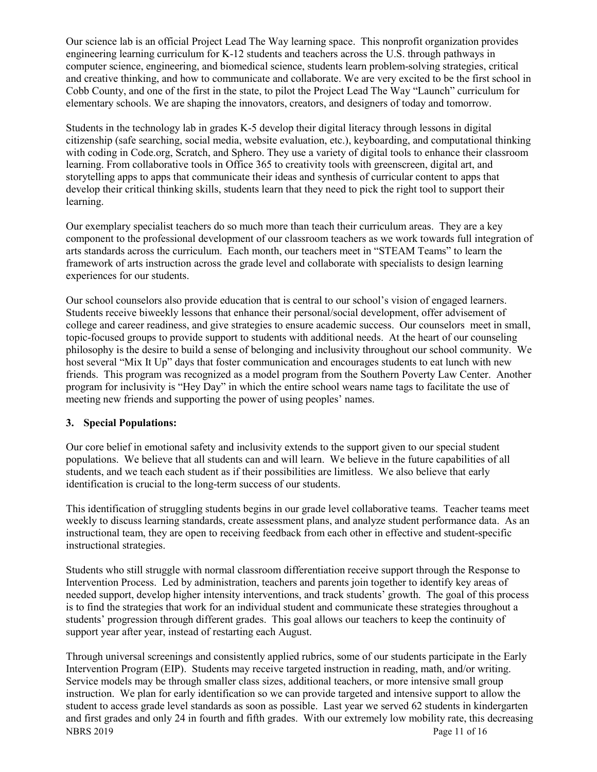Our science lab is an official Project Lead The Way learning space. This nonprofit organization provides engineering learning curriculum for K-12 students and teachers across the U.S. through pathways in computer science, engineering, and biomedical science, students learn problem-solving strategies, critical and creative thinking, and how to communicate and collaborate. We are very excited to be the first school in Cobb County, and one of the first in the state, to pilot the Project Lead The Way "Launch" curriculum for elementary schools. We are shaping the innovators, creators, and designers of today and tomorrow.

Students in the technology lab in grades K-5 develop their digital literacy through lessons in digital citizenship (safe searching, social media, website evaluation, etc.), keyboarding, and computational thinking with coding in Code.org, Scratch, and Sphero. They use a variety of digital tools to enhance their classroom learning. From collaborative tools in Office 365 to creativity tools with greenscreen, digital art, and storytelling apps to apps that communicate their ideas and synthesis of curricular content to apps that develop their critical thinking skills, students learn that they need to pick the right tool to support their learning.

Our exemplary specialist teachers do so much more than teach their curriculum areas. They are a key component to the professional development of our classroom teachers as we work towards full integration of arts standards across the curriculum. Each month, our teachers meet in "STEAM Teams" to learn the framework of arts instruction across the grade level and collaborate with specialists to design learning experiences for our students.

Our school counselors also provide education that is central to our school's vision of engaged learners. Students receive biweekly lessons that enhance their personal/social development, offer advisement of college and career readiness, and give strategies to ensure academic success. Our counselors meet in small, topic-focused groups to provide support to students with additional needs. At the heart of our counseling philosophy is the desire to build a sense of belonging and inclusivity throughout our school community. We host several "Mix It Up" days that foster communication and encourages students to eat lunch with new friends. This program was recognized as a model program from the Southern Poverty Law Center. Another program for inclusivity is "Hey Day" in which the entire school wears name tags to facilitate the use of meeting new friends and supporting the power of using peoples' names.

# **3. Special Populations:**

Our core belief in emotional safety and inclusivity extends to the support given to our special student populations. We believe that all students can and will learn. We believe in the future capabilities of all students, and we teach each student as if their possibilities are limitless. We also believe that early identification is crucial to the long-term success of our students.

This identification of struggling students begins in our grade level collaborative teams. Teacher teams meet weekly to discuss learning standards, create assessment plans, and analyze student performance data. As an instructional team, they are open to receiving feedback from each other in effective and student-specific instructional strategies.

Students who still struggle with normal classroom differentiation receive support through the Response to Intervention Process. Led by administration, teachers and parents join together to identify key areas of needed support, develop higher intensity interventions, and track students' growth. The goal of this process is to find the strategies that work for an individual student and communicate these strategies throughout a students' progression through different grades. This goal allows our teachers to keep the continuity of support year after year, instead of restarting each August.

NBRS 2019 Page 11 of 16 Through universal screenings and consistently applied rubrics, some of our students participate in the Early Intervention Program (EIP). Students may receive targeted instruction in reading, math, and/or writing. Service models may be through smaller class sizes, additional teachers, or more intensive small group instruction. We plan for early identification so we can provide targeted and intensive support to allow the student to access grade level standards as soon as possible. Last year we served 62 students in kindergarten and first grades and only 24 in fourth and fifth grades. With our extremely low mobility rate, this decreasing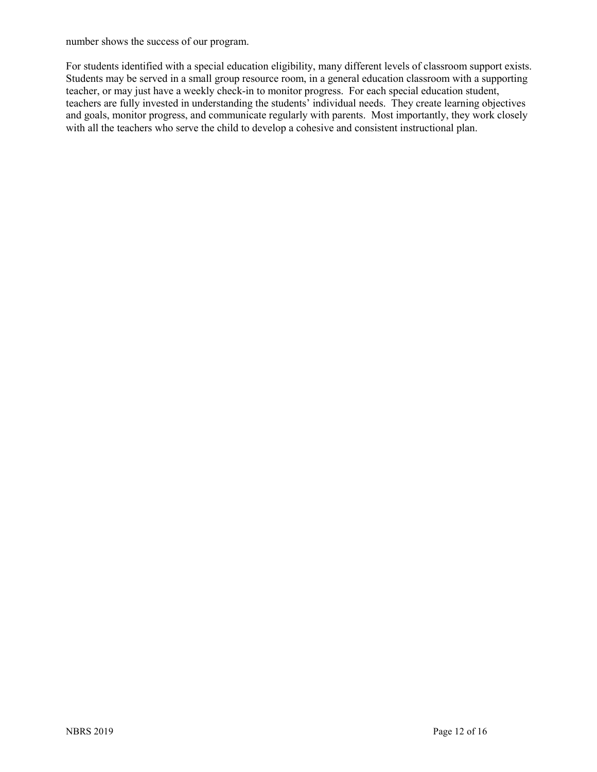number shows the success of our program.

For students identified with a special education eligibility, many different levels of classroom support exists. Students may be served in a small group resource room, in a general education classroom with a supporting teacher, or may just have a weekly check-in to monitor progress. For each special education student, teachers are fully invested in understanding the students' individual needs. They create learning objectives and goals, monitor progress, and communicate regularly with parents. Most importantly, they work closely with all the teachers who serve the child to develop a cohesive and consistent instructional plan.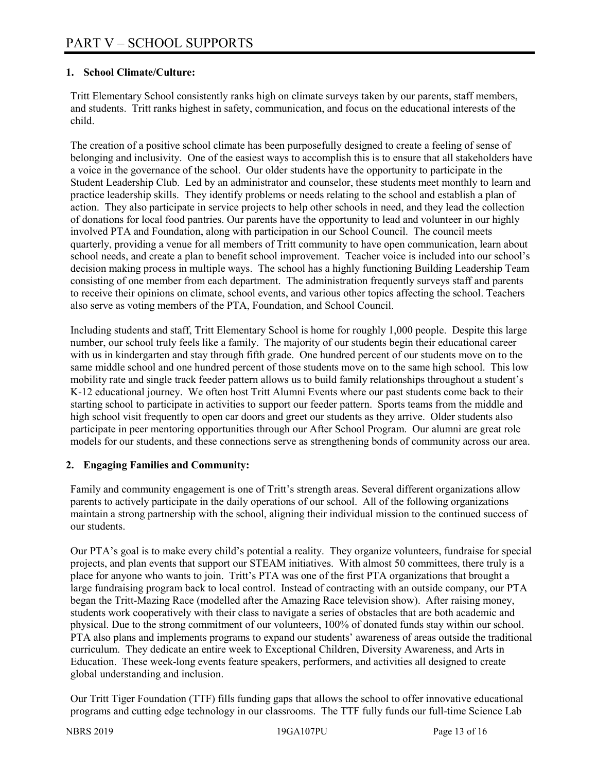#### **1. School Climate/Culture:**

Tritt Elementary School consistently ranks high on climate surveys taken by our parents, staff members, and students. Tritt ranks highest in safety, communication, and focus on the educational interests of the child.

The creation of a positive school climate has been purposefully designed to create a feeling of sense of belonging and inclusivity. One of the easiest ways to accomplish this is to ensure that all stakeholders have a voice in the governance of the school. Our older students have the opportunity to participate in the Student Leadership Club. Led by an administrator and counselor, these students meet monthly to learn and practice leadership skills. They identify problems or needs relating to the school and establish a plan of action. They also participate in service projects to help other schools in need, and they lead the collection of donations for local food pantries. Our parents have the opportunity to lead and volunteer in our highly involved PTA and Foundation, along with participation in our School Council. The council meets quarterly, providing a venue for all members of Tritt community to have open communication, learn about school needs, and create a plan to benefit school improvement. Teacher voice is included into our school's decision making process in multiple ways. The school has a highly functioning Building Leadership Team consisting of one member from each department. The administration frequently surveys staff and parents to receive their opinions on climate, school events, and various other topics affecting the school. Teachers also serve as voting members of the PTA, Foundation, and School Council.

Including students and staff, Tritt Elementary School is home for roughly 1,000 people. Despite this large number, our school truly feels like a family. The majority of our students begin their educational career with us in kindergarten and stay through fifth grade. One hundred percent of our students move on to the same middle school and one hundred percent of those students move on to the same high school. This low mobility rate and single track feeder pattern allows us to build family relationships throughout a student's K-12 educational journey. We often host Tritt Alumni Events where our past students come back to their starting school to participate in activities to support our feeder pattern. Sports teams from the middle and high school visit frequently to open car doors and greet our students as they arrive. Older students also participate in peer mentoring opportunities through our After School Program. Our alumni are great role models for our students, and these connections serve as strengthening bonds of community across our area.

#### **2. Engaging Families and Community:**

Family and community engagement is one of Tritt's strength areas. Several different organizations allow parents to actively participate in the daily operations of our school. All of the following organizations maintain a strong partnership with the school, aligning their individual mission to the continued success of our students.

Our PTA's goal is to make every child's potential a reality. They organize volunteers, fundraise for special projects, and plan events that support our STEAM initiatives. With almost 50 committees, there truly is a place for anyone who wants to join. Tritt's PTA was one of the first PTA organizations that brought a large fundraising program back to local control. Instead of contracting with an outside company, our PTA began the Tritt-Mazing Race (modelled after the Amazing Race television show). After raising money, students work cooperatively with their class to navigate a series of obstacles that are both academic and physical. Due to the strong commitment of our volunteers, 100% of donated funds stay within our school. PTA also plans and implements programs to expand our students' awareness of areas outside the traditional curriculum. They dedicate an entire week to Exceptional Children, Diversity Awareness, and Arts in Education. These week-long events feature speakers, performers, and activities all designed to create global understanding and inclusion.

Our Tritt Tiger Foundation (TTF) fills funding gaps that allows the school to offer innovative educational programs and cutting edge technology in our classrooms. The TTF fully funds our full-time Science Lab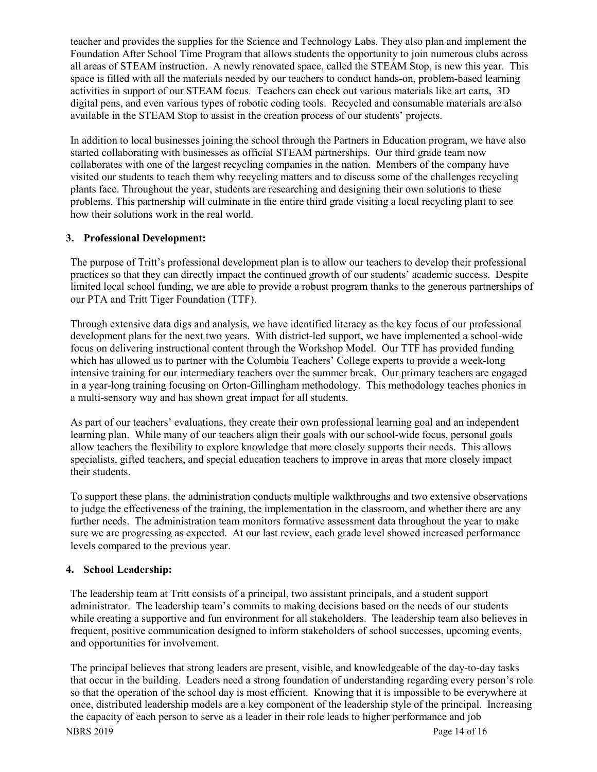teacher and provides the supplies for the Science and Technology Labs. They also plan and implement the Foundation After School Time Program that allows students the opportunity to join numerous clubs across all areas of STEAM instruction. A newly renovated space, called the STEAM Stop, is new this year. This space is filled with all the materials needed by our teachers to conduct hands-on, problem-based learning activities in support of our STEAM focus. Teachers can check out various materials like art carts, 3D digital pens, and even various types of robotic coding tools. Recycled and consumable materials are also available in the STEAM Stop to assist in the creation process of our students' projects.

In addition to local businesses joining the school through the Partners in Education program, we have also started collaborating with businesses as official STEAM partnerships. Our third grade team now collaborates with one of the largest recycling companies in the nation. Members of the company have visited our students to teach them why recycling matters and to discuss some of the challenges recycling plants face. Throughout the year, students are researching and designing their own solutions to these problems. This partnership will culminate in the entire third grade visiting a local recycling plant to see how their solutions work in the real world.

#### **3. Professional Development:**

The purpose of Tritt's professional development plan is to allow our teachers to develop their professional practices so that they can directly impact the continued growth of our students' academic success. Despite limited local school funding, we are able to provide a robust program thanks to the generous partnerships of our PTA and Tritt Tiger Foundation (TTF).

Through extensive data digs and analysis, we have identified literacy as the key focus of our professional development plans for the next two years. With district-led support, we have implemented a school-wide focus on delivering instructional content through the Workshop Model. Our TTF has provided funding which has allowed us to partner with the Columbia Teachers' College experts to provide a week-long intensive training for our intermediary teachers over the summer break. Our primary teachers are engaged in a year-long training focusing on Orton-Gillingham methodology. This methodology teaches phonics in a multi-sensory way and has shown great impact for all students.

As part of our teachers' evaluations, they create their own professional learning goal and an independent learning plan. While many of our teachers align their goals with our school-wide focus, personal goals allow teachers the flexibility to explore knowledge that more closely supports their needs. This allows specialists, gifted teachers, and special education teachers to improve in areas that more closely impact their students.

To support these plans, the administration conducts multiple walkthroughs and two extensive observations to judge the effectiveness of the training, the implementation in the classroom, and whether there are any further needs. The administration team monitors formative assessment data throughout the year to make sure we are progressing as expected. At our last review, each grade level showed increased performance levels compared to the previous year.

# **4. School Leadership:**

The leadership team at Tritt consists of a principal, two assistant principals, and a student support administrator. The leadership team's commits to making decisions based on the needs of our students while creating a supportive and fun environment for all stakeholders. The leadership team also believes in frequent, positive communication designed to inform stakeholders of school successes, upcoming events, and opportunities for involvement.

NBRS 2019 Page 14 of 16 The principal believes that strong leaders are present, visible, and knowledgeable of the day-to-day tasks that occur in the building. Leaders need a strong foundation of understanding regarding every person's role so that the operation of the school day is most efficient. Knowing that it is impossible to be everywhere at once, distributed leadership models are a key component of the leadership style of the principal. Increasing the capacity of each person to serve as a leader in their role leads to higher performance and job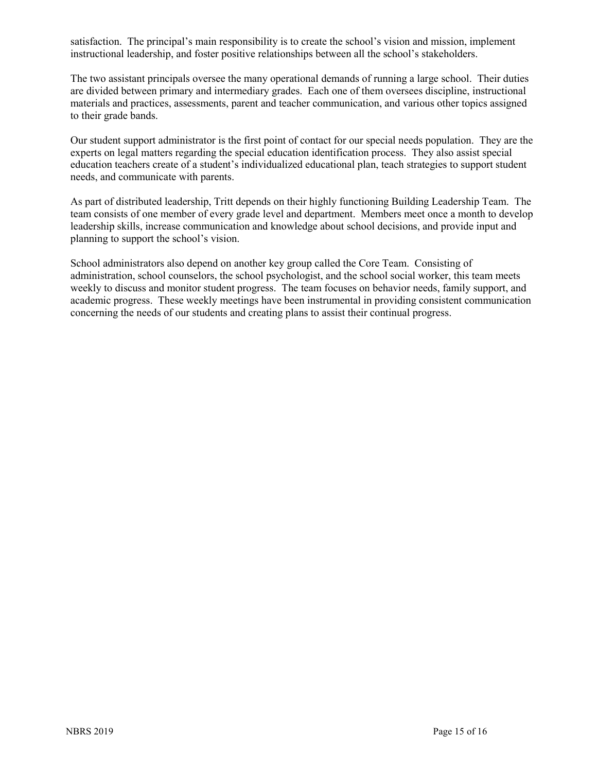satisfaction. The principal's main responsibility is to create the school's vision and mission, implement instructional leadership, and foster positive relationships between all the school's stakeholders.

The two assistant principals oversee the many operational demands of running a large school. Their duties are divided between primary and intermediary grades. Each one of them oversees discipline, instructional materials and practices, assessments, parent and teacher communication, and various other topics assigned to their grade bands.

Our student support administrator is the first point of contact for our special needs population. They are the experts on legal matters regarding the special education identification process. They also assist special education teachers create of a student's individualized educational plan, teach strategies to support student needs, and communicate with parents.

As part of distributed leadership, Tritt depends on their highly functioning Building Leadership Team. The team consists of one member of every grade level and department. Members meet once a month to develop leadership skills, increase communication and knowledge about school decisions, and provide input and planning to support the school's vision.

School administrators also depend on another key group called the Core Team. Consisting of administration, school counselors, the school psychologist, and the school social worker, this team meets weekly to discuss and monitor student progress. The team focuses on behavior needs, family support, and academic progress. These weekly meetings have been instrumental in providing consistent communication concerning the needs of our students and creating plans to assist their continual progress.